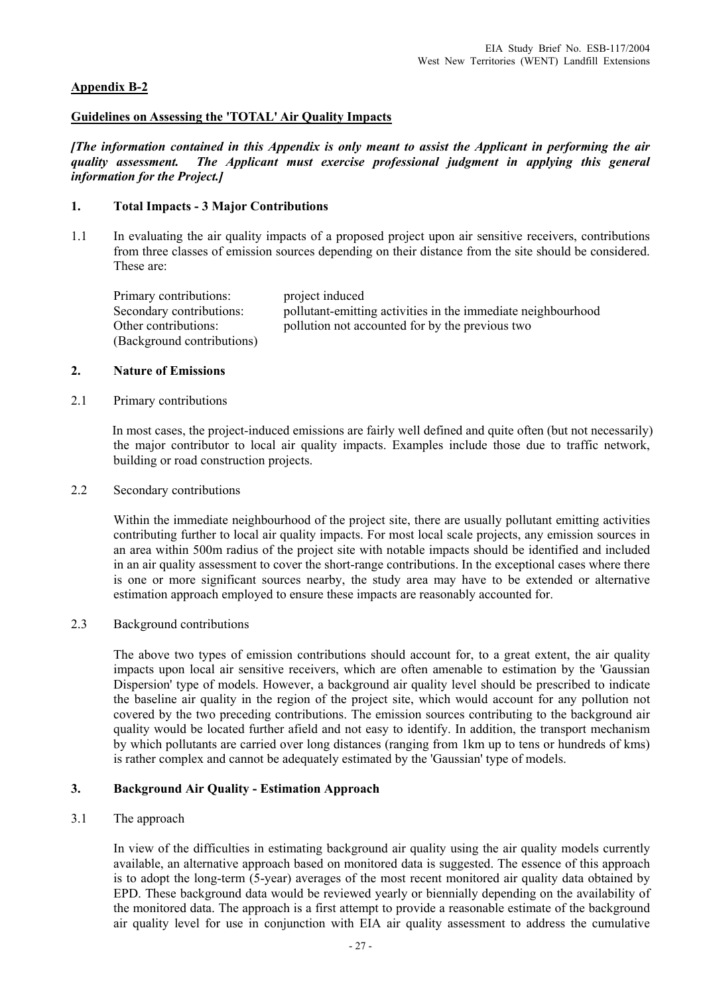# **Appendix B-2**

## **Guidelines on Assessing the 'TOTAL' Air Quality Impacts**

*[The information contained in this Appendix is only meant to assist the Applicant in performing the air quality assessment. The Applicant must exercise professional judgment in applying this general information for the Project.]* 

## **1. Total Impacts - 3 Major Contributions**

1.1 In evaluating the air quality impacts of a proposed project upon air sensitive receivers, contributions from three classes of emission sources depending on their distance from the site should be considered. These are:

Primary contributions: project induced Secondary contributions: pollutant-emitting activities in the immediate neighbourhood Other contributions: pollution not accounted for by the previous two (Background contributions)

#### **2. Nature of Emissions**

2.1 Primary contributions

In most cases, the project-induced emissions are fairly well defined and quite often (but not necessarily) the major contributor to local air quality impacts. Examples include those due to traffic network, building or road construction projects.

# 2.2 Secondary contributions

 Within the immediate neighbourhood of the project site, there are usually pollutant emitting activities contributing further to local air quality impacts. For most local scale projects, any emission sources in an area within 500m radius of the project site with notable impacts should be identified and included in an air quality assessment to cover the short-range contributions. In the exceptional cases where there is one or more significant sources nearby, the study area may have to be extended or alternative estimation approach employed to ensure these impacts are reasonably accounted for.

2.3 Background contributions

 The above two types of emission contributions should account for, to a great extent, the air quality impacts upon local air sensitive receivers, which are often amenable to estimation by the 'Gaussian Dispersion' type of models. However, a background air quality level should be prescribed to indicate the baseline air quality in the region of the project site, which would account for any pollution not covered by the two preceding contributions. The emission sources contributing to the background air quality would be located further afield and not easy to identify. In addition, the transport mechanism by which pollutants are carried over long distances (ranging from 1km up to tens or hundreds of kms) is rather complex and cannot be adequately estimated by the 'Gaussian' type of models.

#### **3. Background Air Quality - Estimation Approach**

#### 3.1 The approach

 In view of the difficulties in estimating background air quality using the air quality models currently available, an alternative approach based on monitored data is suggested. The essence of this approach is to adopt the long-term (5-year) averages of the most recent monitored air quality data obtained by EPD. These background data would be reviewed yearly or biennially depending on the availability of the monitored data. The approach is a first attempt to provide a reasonable estimate of the background air quality level for use in conjunction with EIA air quality assessment to address the cumulative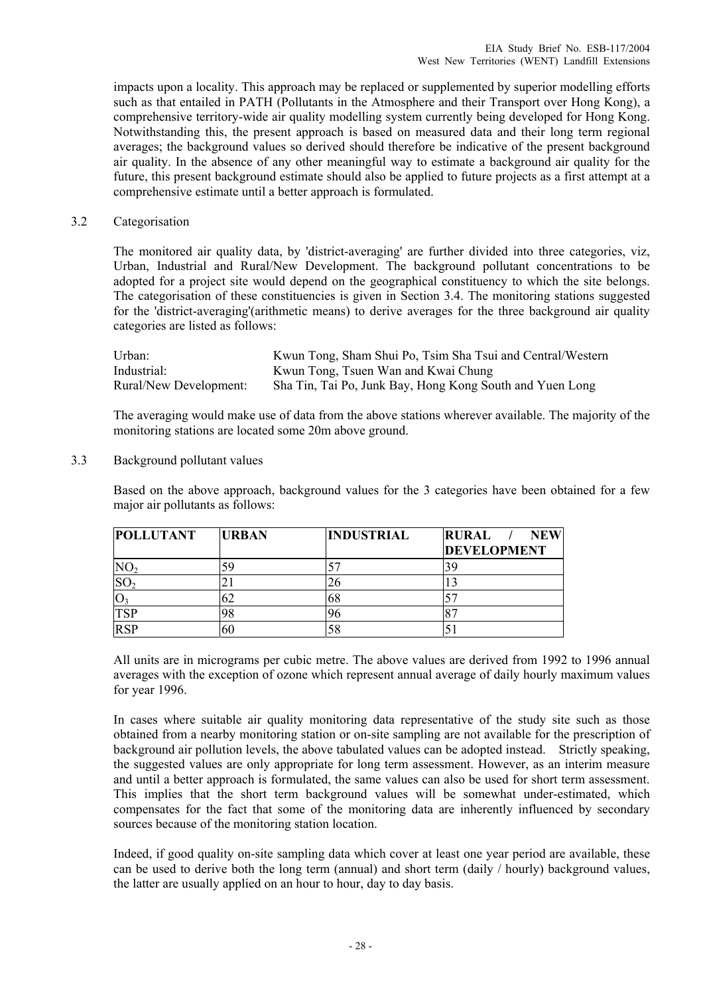impacts upon a locality. This approach may be replaced or supplemented by superior modelling efforts such as that entailed in PATH (Pollutants in the Atmosphere and their Transport over Hong Kong), a comprehensive territory-wide air quality modelling system currently being developed for Hong Kong. Notwithstanding this, the present approach is based on measured data and their long term regional averages; the background values so derived should therefore be indicative of the present background air quality. In the absence of any other meaningful way to estimate a background air quality for the future, this present background estimate should also be applied to future projects as a first attempt at a comprehensive estimate until a better approach is formulated.

#### 3.2 Categorisation

 The monitored air quality data, by 'district-averaging' are further divided into three categories, viz, Urban, Industrial and Rural/New Development. The background pollutant concentrations to be adopted for a project site would depend on the geographical constituency to which the site belongs. The categorisation of these constituencies is given in Section 3.4. The monitoring stations suggested for the 'district-averaging'(arithmetic means) to derive averages for the three background air quality categories are listed as follows:

| Urban:                 | Kwun Tong, Sham Shui Po, Tsim Sha Tsui and Central/Western |
|------------------------|------------------------------------------------------------|
| Industrial:            | Kwun Tong, Tsuen Wan and Kwai Chung                        |
| Rural/New Development: | Sha Tin, Tai Po, Junk Bay, Hong Kong South and Yuen Long   |

 The averaging would make use of data from the above stations wherever available. The majority of the monitoring stations are located some 20m above ground.

3.3 Background pollutant values

 Based on the above approach, background values for the 3 categories have been obtained for a few major air pollutants as follows:

| <b>POLLUTANT</b> | <b>URBAN</b> | <b>INDUSTRIAL</b> | <b>RURAL</b><br><b>NEW</b> |
|------------------|--------------|-------------------|----------------------------|
|                  |              |                   | <b>DEVELOPMENT</b>         |
|                  |              |                   |                            |
|                  |              | 26                |                            |
|                  |              | 68                |                            |
| <b>TSP</b>       | 98           | 96                |                            |
| <b>RSP</b>       | 60           | 58                |                            |

 All units are in micrograms per cubic metre. The above values are derived from 1992 to 1996 annual averages with the exception of ozone which represent annual average of daily hourly maximum values for year 1996.

 In cases where suitable air quality monitoring data representative of the study site such as those obtained from a nearby monitoring station or on-site sampling are not available for the prescription of background air pollution levels, the above tabulated values can be adopted instead. Strictly speaking, the suggested values are only appropriate for long term assessment. However, as an interim measure and until a better approach is formulated, the same values can also be used for short term assessment. This implies that the short term background values will be somewhat under-estimated, which compensates for the fact that some of the monitoring data are inherently influenced by secondary sources because of the monitoring station location.

 Indeed, if good quality on-site sampling data which cover at least one year period are available, these can be used to derive both the long term (annual) and short term (daily / hourly) background values, the latter are usually applied on an hour to hour, day to day basis.